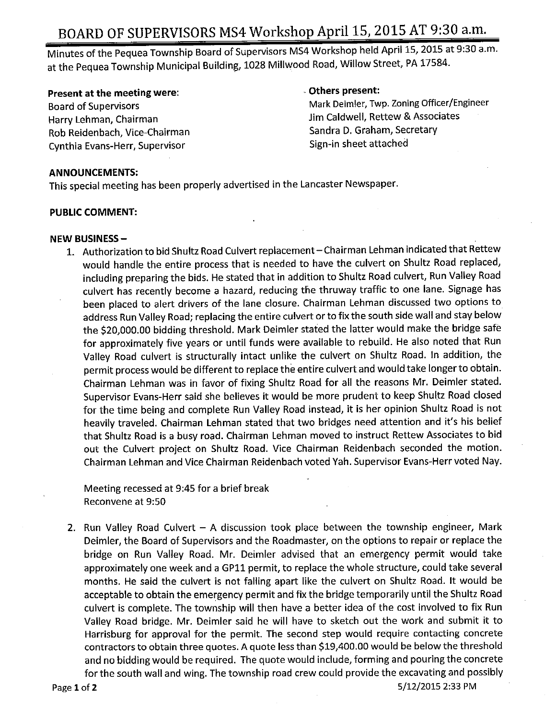# BOARD OF SUPERVISORS MS4 Workshop April 15, 2015 AT 9:30 a.m.

Minutes of the Pequea Township Board of Supervisors MS4 Workshop held April 15, 2015 at 9:30 a.m. at the Pequea Township Municipal Building, 1028 Millwood Road, Willow Street, PA 17584.

### Present at the meeting were: The meeting were all the control of the control of the Definition of the Definition of the Definition of the Definition of the Definition of the Definition of the Definition of the Definition o

Harry Lehman, Chairman Jum Jim Caldwell, Rettew & Assoc<br>Rob Reidenbach, Vice-Chairman Jum Jum Sandra D. Graham, Secretary Rob Reidenbach, Vice-Chairman Cynthia Evans-Herr, Supervisor Supervisor Sign-in sheet attached

Board of Supervisors<br>Harry Lehman, Chairman Mark Deimler, Twp. Zoning Officer/Engineer<br>Harry Lehman, Chairman

#### ANNOUNCEMENTS:

This special meeting has been properly advertised in the Lancaster Newspaper.

#### PUBLIC COMMENT:

#### NEW BUSINESS—

1. Authorization to bid Shultz Road Culvert replacement—Chairman Lehman indicated that Rettew would handle the entire process that is needed to have the culvert on Shultz Road replaced, including preparing the bids. He stated that in addition to Shultz Road culvert, Run Valley Road culvert has recently become a hazard, reducing the thruway traffic to one lane. Signage has been placed to alert drivers of the lane closure. Chairman Lehman discussed two options to address Run Valley Road; replacing the entire culvert or to fix the south side wall and stay below the \$20, 000.00 bidding threshold. Mark Deimler stated the latter would make the bridge safe for approximately five years or until funds were available to rebuild. He also noted that Run Valley Road culvert is structurally intact unlike the culvert on Shultz Road. In addition, the permit process would be different to replace the entire culvert and would take longer to obtain. Chairman Lehman was in favor of fixing Shultz Road for all the reasons Mr. Deimler stated. Supervisor Evans-Herr said she believes it would be more prudent to keep Shultz Road closed for the time being and complete Run Valley Road instead, it is her opinion Shultz Road is not heavily traveled. Chairman Lehman stated that two bridges need attention and it's his belief that Shultz Road is a busy road. Chairman Lehman moved to instruct Rettew Associates to bid out the Culvert project on Shultz Road. Vice Chairman Reidenbach seconded the motion. Chairman Lehman and Vice Chairman Reidenbach voted Yah. Supervisor Evans- Herr voted Nay.

Meeting recessed at 9:45 for a brief break Reconvene at 9:50

2. Run Valley Road Culvert — A discussion took place between the township engineer, Mark Deimler, the Board of Supervisors and the Roadmaster, on the options to repair or replace the bridge on Run Valley Road. Mr. Deimler advised that an emergency permit would take approximately one week and <sup>a</sup> GP11 permit, to replace the whole structure, could take several months. He said the culvert is not falling apart like the culvert on Shultz Road. It would be acceptable to obtain the emergency permit and fix the bridge temporarily until the Shultz Road culvert is complete. The township will then have <sup>a</sup> better idea of the cost involved to fix Run Valley Road bridge. Mr. Deimler said he will have to sketch out the work and submit it to Harrisburg for approval for the permit. The second step would require contacting concrete contractors to obtain three quotes. A quote less than \$19,400.00 would be below the threshold and no bidding would be required. The quote would include, forming and pouring the concrete for the south wall and wing. The township road crew could provide the excavating and possibly

Page 1 of 2 5/12/2015 2:33 PM